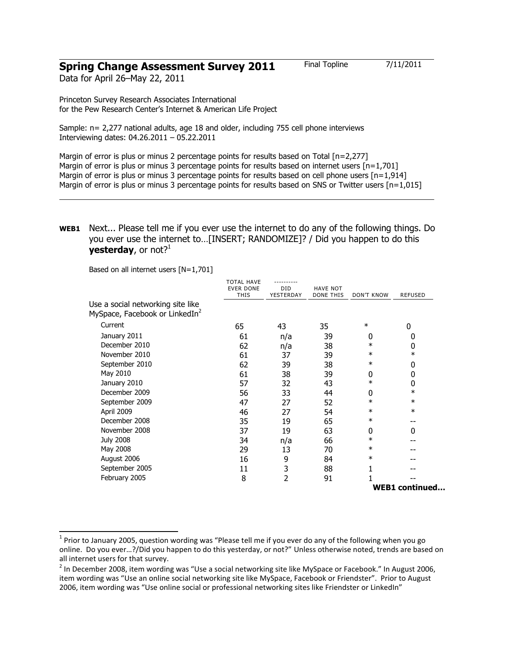# **Spring Change Assessment Survey 2011** Final Topline 7/11/2011

Data for April 26–May 22, 2011

Princeton Survey Research Associates International for the Pew Research Center's Internet & American Life Project

Sample: n= 2,277 national adults, age 18 and older, including 755 cell phone interviews Interviewing dates: 04.26.2011 – 05.22.2011

Margin of error is plus or minus 2 percentage points for results based on Total [n=2,277] Margin of error is plus or minus 3 percentage points for results based on internet users  $[n=1,701]$ Margin of error is plus or minus 3 percentage points for results based on cell phone users [n=1,914] Margin of error is plus or minus 3 percentage points for results based on SNS or Twitter users  $[n=1,015]$ 

## **WEB1** Next... Please tell me if you ever use the internet to do any of the following things. Do you ever use the internet to…[INSERT; RANDOMIZE]? / Did you happen to do this **yesterday**, or not? $1$

Based on all internet users [N=1,701]

|                                                                                 | <b>TOTAL HAVE</b><br><b>EVER DONE</b><br><b>THIS</b> | <b>DID</b><br>YESTERDAY | <b>HAVE NOT</b><br><b>DONE THIS</b> | <b>DON'T KNOW</b> | <b>REFUSED</b>        |
|---------------------------------------------------------------------------------|------------------------------------------------------|-------------------------|-------------------------------------|-------------------|-----------------------|
| Use a social networking site like<br>MySpace, Facebook or LinkedIn <sup>2</sup> |                                                      |                         |                                     |                   |                       |
| Current                                                                         | 65                                                   | 43                      | 35                                  | $\ast$            | 0                     |
| January 2011                                                                    | 61                                                   | n/a                     | 39                                  | 0                 | 0                     |
| December 2010                                                                   | 62                                                   | n/a                     | 38                                  | $\ast$            | 0                     |
| November 2010                                                                   | 61                                                   | 37                      | 39                                  | $\ast$            | $\ast$                |
| September 2010                                                                  | 62                                                   | 39                      | 38                                  | $\ast$            | 0                     |
| May 2010                                                                        | 61                                                   | 38                      | 39                                  | 0                 | 0                     |
| January 2010                                                                    | 57                                                   | 32                      | 43                                  | $\ast$            | 0                     |
| December 2009                                                                   | 56                                                   | 33                      | 44                                  | 0                 | $\ast$                |
| September 2009                                                                  | 47                                                   | 27                      | 52                                  | $\ast$            | $\ast$                |
| April 2009                                                                      | 46                                                   | 27                      | 54                                  | $\ast$            | $\ast$                |
| December 2008                                                                   | 35                                                   | 19                      | 65                                  | $\ast$            | --                    |
| November 2008                                                                   | 37                                                   | 19                      | 63                                  | 0                 | 0                     |
| <b>July 2008</b>                                                                | 34                                                   | n/a                     | 66                                  | $\ast$            |                       |
| May 2008                                                                        | 29                                                   | 13                      | 70                                  | $\ast$            |                       |
| August 2006                                                                     | 16                                                   | 9                       | 84                                  | $\ast$            |                       |
| September 2005                                                                  | 11                                                   | 3                       | 88                                  |                   |                       |
| February 2005                                                                   | 8                                                    | 2                       | 91                                  |                   |                       |
|                                                                                 |                                                      |                         |                                     |                   | <b>WEB1</b> continued |

 1 Prior to January 2005, question wording was "Please tell me if you ever do any of the following when you go online. Do you ever…?/Did you happen to do this yesterday, or not?" Unless otherwise noted, trends are based on all internet users for that survey.

 $^2$  In December 2008, item wording was "Use a social networking site like MySpace or Facebook." In August 2006, item wording was "Use an online social networking site like MySpace, Facebook or Friendster". Prior to August 2006, item wording was "Use online social or professional networking sites like Friendster or LinkedIn"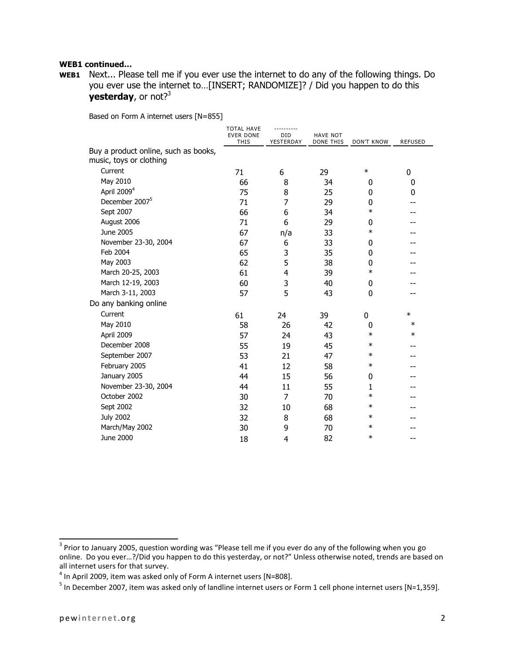#### **WEB1 continued…**

**WEB1** Next... Please tell me if you ever use the internet to do any of the following things. Do you ever use the internet to…[INSERT; RANDOMIZE]? / Did you happen to do this **yesterday**, or not?<sup>3</sup>

Based on Form A internet users [N=855]

|                                                                 | <b>TOTAL HAVE</b><br><b>EVER DONE</b><br>THIS | ----------<br><b>DID</b><br>YESTERDAY | <b>HAVE NOT</b><br><b>DONE THIS</b> | <b>DON'T KNOW</b> | <b>REFUSED</b> |
|-----------------------------------------------------------------|-----------------------------------------------|---------------------------------------|-------------------------------------|-------------------|----------------|
| Buy a product online, such as books,<br>music, toys or clothing |                                               |                                       |                                     |                   |                |
| Current                                                         | 71                                            | 6                                     | 29                                  | $\ast$            | 0              |
| May 2010                                                        | 66                                            | 8                                     | 34                                  | 0                 | 0              |
| April 2009 <sup>4</sup>                                         | 75                                            | 8                                     | 25                                  | 0                 | 0              |
| December 2007 <sup>5</sup>                                      | 71                                            | 7                                     | 29                                  | 0                 |                |
| Sept 2007                                                       | 66                                            | 6                                     | 34                                  | $\ast$            |                |
| August 2006                                                     | 71                                            | 6                                     | 29                                  | $\Omega$          |                |
| June 2005                                                       | 67                                            | n/a                                   | 33                                  | $\ast$            |                |
| November 23-30, 2004                                            | 67                                            | 6                                     | 33                                  | 0                 |                |
| Feb 2004                                                        | 65                                            | 3                                     | 35                                  | $\mathbf{0}$      |                |
| May 2003                                                        | 62                                            | 5                                     | 38                                  | 0                 |                |
| March 20-25, 2003                                               | 61                                            | 4                                     | 39                                  | $\ast$            |                |
| March 12-19, 2003                                               | 60                                            | 3                                     | 40                                  | 0                 |                |
| March 3-11, 2003                                                | 57                                            | 5                                     | 43                                  | $\mathbf 0$       |                |
| Do any banking online                                           |                                               |                                       |                                     |                   |                |
| Current                                                         | 61                                            | 24                                    | 39                                  | 0                 | $\ast$         |
| May 2010                                                        | 58                                            | 26                                    | 42                                  | 0                 | $\ast$         |
| April 2009                                                      | 57                                            | 24                                    | 43                                  | $\ast$            | $\ast$         |
| December 2008                                                   | 55                                            | 19                                    | 45                                  | $\ast$            |                |
| September 2007                                                  | 53                                            | 21                                    | 47                                  | $\ast$            |                |
| February 2005                                                   | 41                                            | 12                                    | 58                                  | $\ast$            |                |
| January 2005                                                    | 44                                            | 15                                    | 56                                  | 0                 |                |
| November 23-30, 2004                                            | 44                                            | 11                                    | 55                                  | 1                 |                |
| October 2002                                                    | 30                                            | 7                                     | 70                                  | $\ast$            |                |
| Sept 2002                                                       | 32                                            | 10                                    | 68                                  | $\ast$            |                |
| <b>July 2002</b>                                                | 32                                            | 8                                     | 68                                  | $\ast$            |                |
| March/May 2002                                                  | 30                                            | 9                                     | 70                                  | $\ast$            |                |
| June 2000                                                       | 18                                            | 4                                     | 82                                  | $\ast$            | --             |

<sup>&</sup>lt;u>a</u><br><sup>3</sup> Prior to January 2005, question wording was "Please tell me if you ever do any of the following when you go online. Do you ever…?/Did you happen to do this yesterday, or not?" Unless otherwise noted, trends are based on all internet users for that survey.

 $^4$  In April 2009, item was asked only of Form A internet users [N=808].

 $^5$  In December 2007, item was asked only of landline internet users or Form 1 cell phone internet users [N=1,359].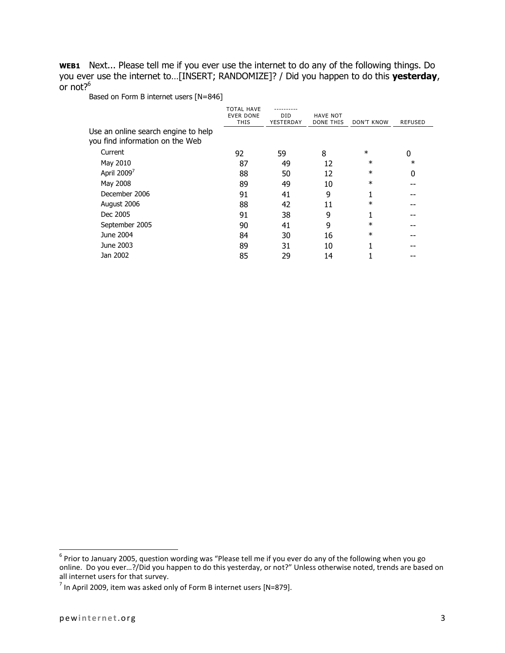**WEB1** Next... Please tell me if you ever use the internet to do any of the following things. Do you ever use the internet to…[INSERT; RANDOMIZE]? / Did you happen to do this **yesterday**, or not? $6$ 

Based on Form B internet users [N=846]

|                                                                        | <b>TOTAL HAVE</b><br><b>EVER DONE</b><br><b>THIS</b> | DID<br>YESTERDAY | <b>HAVE NOT</b><br><b>DONE THIS</b> | <b>DON'T KNOW</b> | <b>REFUSED</b> |
|------------------------------------------------------------------------|------------------------------------------------------|------------------|-------------------------------------|-------------------|----------------|
| Use an online search engine to help<br>you find information on the Web |                                                      |                  |                                     |                   |                |
| Current                                                                | 92                                                   | 59               | 8                                   | $\ast$            | 0              |
| May 2010                                                               | 87                                                   | 49               | 12                                  | $\ast$            | $\ast$         |
| April 2009 <sup>7</sup>                                                | 88                                                   | 50               | 12                                  | $\ast$            | 0              |
| May 2008                                                               | 89                                                   | 49               | 10                                  | $\ast$            |                |
| December 2006                                                          | 91                                                   | 41               | 9                                   |                   |                |
| August 2006                                                            | 88                                                   | 42               | 11                                  | $\ast$            |                |
| Dec 2005                                                               | 91                                                   | 38               | 9                                   |                   |                |
| September 2005                                                         | 90                                                   | 41               | 9                                   | $^\ast$           |                |
| June 2004                                                              | 84                                                   | 30               | 16                                  | $\ast$            |                |
| June 2003                                                              | 89                                                   | 31               | 10                                  | -1                |                |
| Jan 2002                                                               | 85                                                   | 29               | 14                                  |                   |                |
|                                                                        |                                                      |                  |                                     |                   |                |

entior to January 2005, question wording was "Please tell me if you ever do any of the following when you go<br><sup>6</sup> Prior to January 2005, question wording was "Please tell me if you ever do any of the following when you go online. Do you ever…?/Did you happen to do this yesterday, or not?" Unless otherwise noted, trends are based on all internet users for that survey.

 $^7$  In April 2009, item was asked only of Form B internet users [N=879].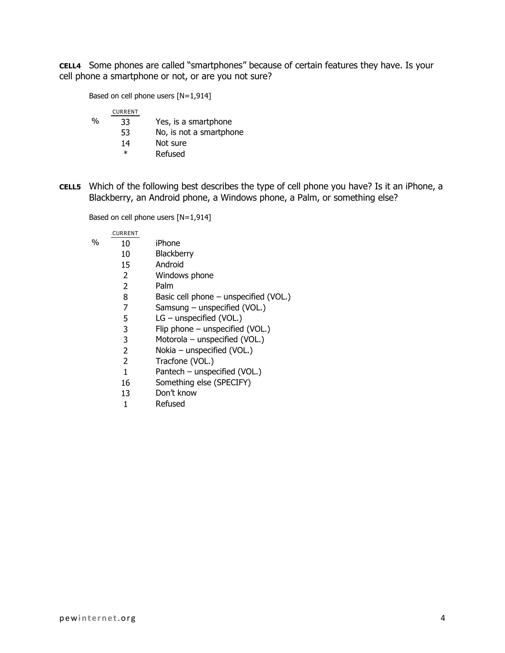**CELL4** Some phones are called "smartphones" because of certain features they have. Is your cell phone a smartphone or not, or are you not sure?

Based on cell phone users [N=1,914]

|   | <b>CURRENT</b> |                         |
|---|----------------|-------------------------|
| % | 33             | Yes, is a smartphone    |
|   | 53             | No, is not a smartphone |
|   | 14             | Not sure                |
|   | ж              | Refused                 |

**CELL5** Which of the following best describes the type of cell phone you have? Is it an iPhone, a Blackberry, an Android phone, a Windows phone, a Palm, or something else?

Based on cell phone users [N=1,914]

|   | <b>CURRENT</b> |                                         |
|---|----------------|-----------------------------------------|
| % | 10             | iPhone                                  |
|   | 10             | Blackberry                              |
|   | 15             | Android                                 |
|   | $\overline{2}$ | Windows phone                           |
|   | 2              | Palm                                    |
|   | 8              | Basic cell phone $-$ unspecified (VOL.) |
|   | 7              | Samsung $-$ unspecified (VOL.)          |
|   | 5              | $LG$ – unspecified (VOL.)               |
|   | 3              | Flip phone - unspecified (VOL.)         |
|   | 3              | Motorola - unspecified (VOL.)           |
|   | 2              | Nokia - unspecified (VOL.)              |
|   | 2              | Tracfone (VOL.)                         |
|   | 1              | Pantech - unspecified (VOL.)            |
|   | 16             | Something else (SPECIFY)                |
|   | 13             | Don't know                              |
|   | 1              | Refused                                 |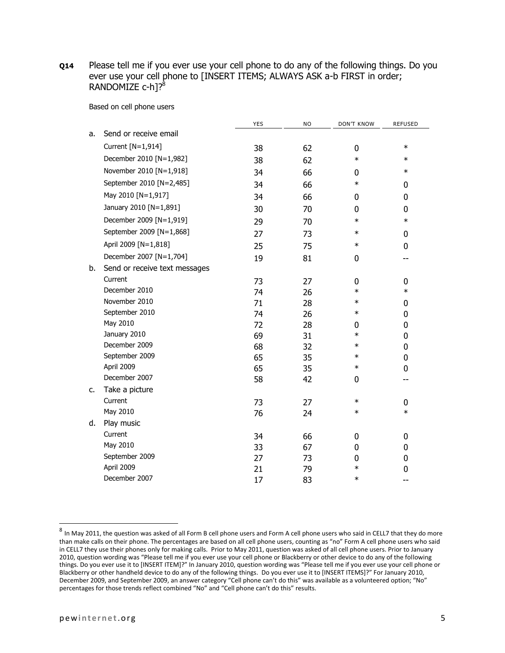**Q14** Please tell me if you ever use your cell phone to do any of the following things. Do you ever use your cell phone to [INSERT ITEMS; ALWAYS ASK a-b FIRST in order; RANDOMIZE  $c$ -h<sub>1?</sub><sup>8</sup>

Based on cell phone users

|    |                               | <b>YES</b> | <b>NO</b> | <b>DON'T KNOW</b> | <b>REFUSED</b> |
|----|-------------------------------|------------|-----------|-------------------|----------------|
| a. | Send or receive email         |            |           |                   |                |
|    | Current [N=1,914]             | 38         | 62        | 0                 | $\ast$         |
|    | December 2010 [N=1,982]       | 38         | 62        | $\ast$            | $\ast$         |
|    | November 2010 [N=1,918]       | 34         | 66        | 0                 | $\ast$         |
|    | September 2010 [N=2,485]      | 34         | 66        | $\ast$            | 0              |
|    | May 2010 [N=1,917]            | 34         | 66        | 0                 | 0              |
|    | January 2010 [N=1,891]        | 30         | 70        | 0                 | $\bf{0}$       |
|    | December 2009 [N=1,919]       | 29         | 70        | $\ast$            | $\ast$         |
|    | September 2009 [N=1,868]      | 27         | 73        | $\ast$            | 0              |
|    | April 2009 [N=1,818]          | 25         | 75        | $\ast$            | $\bf{0}$       |
|    | December 2007 [N=1,704]       | 19         | 81        | 0                 |                |
| b. | Send or receive text messages |            |           |                   |                |
|    | Current                       | 73         | 27        | 0                 | 0              |
|    | December 2010                 | 74         | 26        | $\ast$            | $\ast$         |
|    | November 2010                 | 71         | 28        | $\ast$            | 0              |
|    | September 2010                | 74         | 26        | $\ast$            | $\mathbf 0$    |
|    | May 2010                      | 72         | 28        | 0                 | $\bf{0}$       |
|    | January 2010                  | 69         | 31        | $\ast$            | 0              |
|    | December 2009                 | 68         | 32        | $\ast$            | $\bf{0}$       |
|    | September 2009                | 65         | 35        | $\ast$            | $\bf{0}$       |
|    | April 2009                    | 65         | 35        | $\ast$            | 0              |
|    | December 2007                 | 58         | 42        | 0                 | --             |
| c. | Take a picture                |            |           |                   |                |
|    | Current                       | 73         | 27        | $\ast$            | $\bf{0}$       |
|    | May 2010                      | 76         | 24        | $\ast$            | $\ast$         |
| d. | Play music                    |            |           |                   |                |
|    | Current                       | 34         | 66        | 0                 | 0              |
|    | May 2010                      | 33         | 67        | 0                 | $\bf{0}$       |
|    | September 2009                | 27         | 73        | 0                 | 0              |
|    | April 2009                    | 21         | 79        | $\ast$            | 0              |
|    | December 2007                 | 17         | 83        | $\ast$            |                |

 $^8$  In May 2011, the question was asked of all Form B cell phone users and Form A cell phone users who said in CELL7 that they do more than make calls on their phone. The percentages are based on all cell phone users, counting as "no" Form A cell phone users who said in CELL7 they use their phones only for making calls. Prior to May 2011, question was asked of all cell phone users. Prior to January 2010, question wording was "Please tell me if you ever use your cell phone or Blackberry or other device to do any of the following things. Do you ever use it to [INSERT ITEM]?" In January 2010, question wording was "Please tell me if you ever use your cell phone or Blackberry or other handheld device to do any of the following things. Do you ever use it to [INSERT ITEMS]?" For January 2010, December 2009, and September 2009, an answer category "Cell phone can't do this" was available as a volunteered option; "No" percentages for those trends reflect combined "No" and "Cell phone can't do this" results.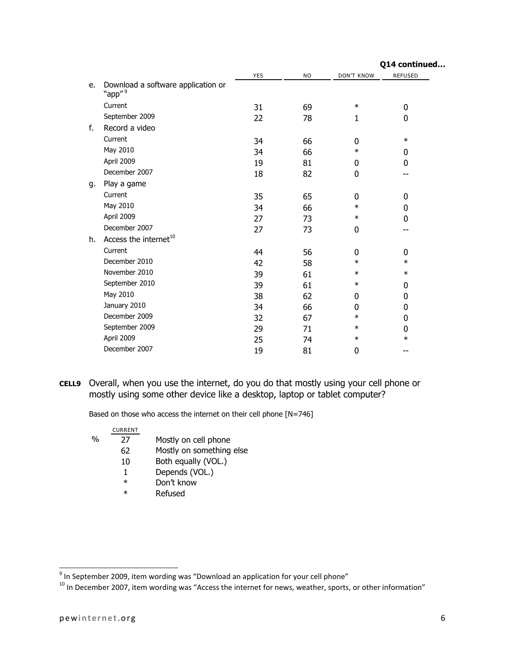|                                                          |            |           |                   | Q14 continued  |
|----------------------------------------------------------|------------|-----------|-------------------|----------------|
|                                                          | <b>YES</b> | <b>NO</b> | <b>DON'T KNOW</b> | <b>REFUSED</b> |
| Download a software application or<br>"app" <sup>9</sup> |            |           |                   |                |
| Current                                                  | 31         | 69        | $\ast$            | 0              |
| September 2009                                           | 22         | 78        | 1                 | 0              |
| Record a video                                           |            |           |                   |                |
| Current                                                  | 34         | 66        | 0                 | $\ast$         |
| May 2010                                                 | 34         | 66        | $\ast$            | 0              |
| April 2009                                               | 19         | 81        | 0                 | 0              |
| December 2007                                            | 18         | 82        | 0                 |                |
| Play a game                                              |            |           |                   |                |
| Current                                                  | 35         | 65        | 0                 | 0              |
| May 2010                                                 | 34         | 66        | $\ast$            | 0              |
| April 2009                                               | 27         | 73        | $\ast$            | 0              |
| December 2007                                            | 27         | 73        | 0                 |                |
| Access the internet <sup>10</sup>                        |            |           |                   |                |
| Current                                                  | 44         | 56        | 0                 | 0              |
| December 2010                                            | 42         | 58        | $\ast$            | $\ast$         |
| November 2010                                            | 39         | 61        | $\ast$            | $\ast$         |
| September 2010                                           | 39         | 61        | $\ast$            | 0              |
| May 2010                                                 | 38         | 62        | 0                 | 0              |
| January 2010                                             | 34         | 66        | 0                 | 0              |
| December 2009                                            | 32         | 67        | $\ast$            | 0              |
| September 2009                                           | 29         | 71        | $\ast$            | 0              |
| April 2009                                               | 25         | 74        | $\ast$            | $\ast$         |
| December 2007                                            | 19         | 81        | 0                 |                |
|                                                          |            |           |                   |                |

**CELL9** Overall, when you use the internet, do you do that mostly using your cell phone or mostly using some other device like a desktop, laptop or tablet computer?

Based on those who access the internet on their cell phone [N=746]

|   | <b>CURRENT</b> |                          |
|---|----------------|--------------------------|
| % | 27             | Mostly on cell phone     |
|   | 62             | Mostly on something else |
|   | 10             | Both equally (VOL.)      |
|   | 1              | Depends (VOL.)           |
|   | $\ast$         | Don't know               |
|   | ж              | Refused                  |

 9 In September 2009, item wording was "Download an application for your cell phone"

 $^{10}$  In December 2007, item wording was "Access the internet for news, weather, sports, or other information"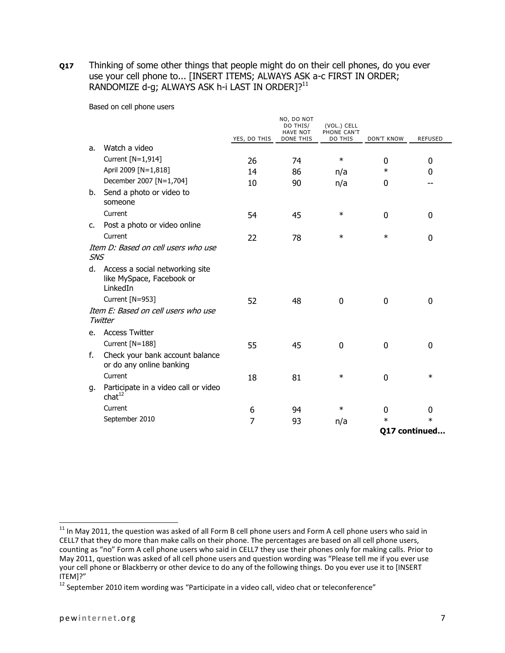**Q17** Thinking of some other things that people might do on their cell phones, do you ever use your cell phone to... [INSERT ITEMS; ALWAYS ASK a-c FIRST IN ORDER; RANDOMIZE d-g; ALWAYS ASK h-i LAST IN ORDER1?<sup>11</sup>

Based on cell phone users

|               |                                                                             | YES, DO THIS | NO, DO NOT<br>DO THIS/<br><b>HAVE NOT</b><br><b>DONE THIS</b> | (VOL.) CELL<br>PHONE CAN'T<br>DO THIS | <b>DON'T KNOW</b> | <b>REFUSED</b> |
|---------------|-----------------------------------------------------------------------------|--------------|---------------------------------------------------------------|---------------------------------------|-------------------|----------------|
| a.            | Watch a video                                                               |              |                                                               |                                       |                   |                |
|               | Current [N=1,914]                                                           | 26           | 74                                                            | $\ast$                                | 0                 | 0              |
|               | April 2009 [N=1,818]                                                        | 14           | 86                                                            | n/a                                   | $\ast$            | 0              |
|               | December 2007 [N=1,704]                                                     | 10           | 90                                                            | n/a                                   | 0                 |                |
| b.            | Send a photo or video to<br>someone                                         |              |                                                               |                                       |                   |                |
|               | Current                                                                     | 54           | 45                                                            | $\ast$                                | $\Omega$          | $\Omega$       |
| $C_{\bullet}$ | Post a photo or video online                                                |              |                                                               |                                       |                   |                |
|               | Current                                                                     | 22           | 78                                                            | $\ast$                                | $\ast$            | $\Omega$       |
| <b>SNS</b>    | Item D: Based on cell users who use                                         |              |                                                               |                                       |                   |                |
|               | d. Access a social networking site<br>like MySpace, Facebook or<br>LinkedIn |              |                                                               |                                       |                   |                |
|               | Current [N=953]                                                             | 52           | 48                                                            | 0                                     | 0                 | 0              |
|               | Item E: Based on cell users who use<br>Twitter                              |              |                                                               |                                       |                   |                |
| e.            | <b>Access Twitter</b>                                                       |              |                                                               |                                       |                   |                |
|               | Current [N=188]                                                             | 55           | 45                                                            | $\mathbf 0$                           | 0                 | 0              |
| f.            | Check your bank account balance<br>or do any online banking                 |              |                                                               |                                       |                   |                |
|               | Current                                                                     | 18           | 81                                                            | $\ast$                                | 0                 | $\ast$         |
| g.            | Participate in a video call or video<br>chat <sup>12</sup>                  |              |                                                               |                                       |                   |                |
|               | Current                                                                     | 6            | 94                                                            | $\ast$                                | $\Omega$          | 0              |
|               | September 2010                                                              | 7            | 93                                                            | n/a                                   | $\ast$            | $\ast$         |
|               |                                                                             |              |                                                               |                                       |                   | 017 continued  |

 $11$  In May 2011, the question was asked of all Form B cell phone users and Form A cell phone users who said in CELL7 that they do more than make calls on their phone. The percentages are based on all cell phone users, counting as "no" Form A cell phone users who said in CELL7 they use their phones only for making calls. Prior to May 2011, question was asked of all cell phone users and question wording was "Please tell me if you ever use your cell phone or Blackberry or other device to do any of the following things. Do you ever use it to [INSERT ITEM]?"

 $12$  September 2010 item wording was "Participate in a video call, video chat or teleconference"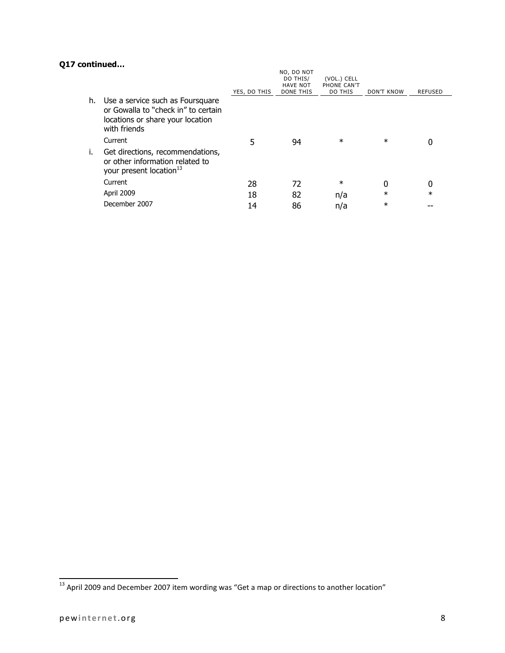# **Q17 continued…**

|    |                                                                                                                             | YES, DO THIS | NO, DO NOT<br>DO THIS/<br><b>HAVE NOT</b><br><b>DONE THIS</b> | (VOL.) CELL<br>PHONE CAN'T<br>DO THIS | DON'T KNOW | REFUSED |
|----|-----------------------------------------------------------------------------------------------------------------------------|--------------|---------------------------------------------------------------|---------------------------------------|------------|---------|
| h. | Use a service such as Foursquare<br>or Gowalla to "check in" to certain<br>locations or share your location<br>with friends |              |                                                               |                                       |            |         |
|    | Current                                                                                                                     | 5            | 94                                                            | $\ast$                                | $\ast$     |         |
| Τ. | Get directions, recommendations,<br>or other information related to<br>your present location <sup>13</sup>                  |              |                                                               |                                       |            |         |
|    | Current                                                                                                                     | 28           | 72                                                            | $^\ast$                               | 0          |         |
|    | April 2009                                                                                                                  | 18           | 82                                                            | n/a                                   | $\ast$     | $\ast$  |
|    | December 2007                                                                                                               | 14           | 86                                                            | n/a                                   | $\ast$     |         |
|    |                                                                                                                             |              |                                                               |                                       |            |         |

 $\overline{\phantom{a}}$  $^{13}$  April 2009 and December 2007 item wording was "Get a map or directions to another location"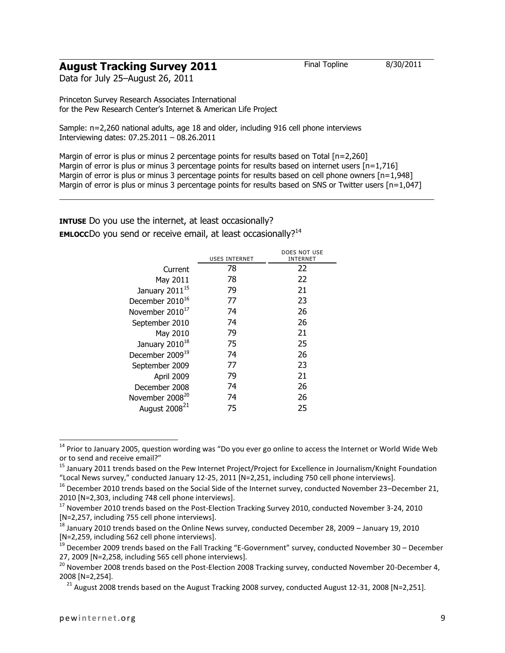# **August Tracking Survey 2011** Final Topline 8/30/2011

Data for July 25–August 26, 2011

Princeton Survey Research Associates International for the Pew Research Center's Internet & American Life Project

Sample: n=2,260 national adults, age 18 and older, including 916 cell phone interviews Interviewing dates: 07.25.2011 – 08.26.2011

Margin of error is plus or minus 2 percentage points for results based on Total [n=2,260] Margin of error is plus or minus 3 percentage points for results based on internet users  $[n=1.716]$ Margin of error is plus or minus 3 percentage points for results based on cell phone owners  $[n=1,948]$ Margin of error is plus or minus 3 percentage points for results based on SNS or Twitter users [n=1,047]

**INTUSE** Do you use the internet, at least occasionally? **EMLOCC**Do you send or receive email, at least occasionally?<sup>14</sup>

|                             | <b>USES INTERNET</b> | DOES NOT USE<br>INTERNET |
|-----------------------------|----------------------|--------------------------|
| Current                     | 78                   | 22                       |
| May 2011                    | 78                   | 22                       |
| January 2011 <sup>15</sup>  | 79                   | 21                       |
| December 2010 <sup>16</sup> | 77                   | 23                       |
| November 2010 <sup>17</sup> | 74                   | 26                       |
| September 2010              | 74                   | 26                       |
| May 2010                    | 79                   | 21                       |
| January 2010 <sup>18</sup>  | 75                   | 25                       |
| December 2009 <sup>19</sup> | 74                   | 26                       |
| September 2009              | 77                   | 23                       |
| April 2009                  | 79                   | 21                       |
| December 2008               | 74                   | 26                       |
| November 2008 <sup>20</sup> | 74                   | 26                       |
| August 2008 <sup>21</sup>   | 75                   | 25                       |

 $^{14}$  Prior to January 2005, question wording was "Do you ever go online to access the Internet or World Wide Web or to send and receive email?"

<sup>&</sup>lt;sup>15</sup> January 2011 trends based on the Pew Internet Project/Project for Excellence in Journalism/Knight Foundation "Local News survey," conducted January 12-25, 2011 [N=2,251, including 750 cell phone interviews].

 $16$  December 2010 trends based on the Social Side of the Internet survey, conducted November 23–December 21, 2010 [N=2,303, including 748 cell phone interviews].

<sup>&</sup>lt;sup>17</sup> November 2010 trends based on the Post-Election Tracking Survey 2010, conducted November 3-24, 2010 [N=2,257, including 755 cell phone interviews].

 $^{18}$  January 2010 trends based on the Online News survey, conducted December 28, 2009 – January 19, 2010 [N=2,259, including 562 cell phone interviews].

 $19$  December 2009 trends based on the Fall Tracking "E-Government" survey, conducted November 30 – December 27, 2009 [N=2,258, including 565 cell phone interviews].

<sup>&</sup>lt;sup>20</sup> November 2008 trends based on the Post-Election 2008 Tracking survey, conducted November 20-December 4, 2008 [N=2,254].

<sup>&</sup>lt;sup>21</sup> August 2008 trends based on the August Tracking 2008 survey, conducted August 12-31, 2008 [N=2,251].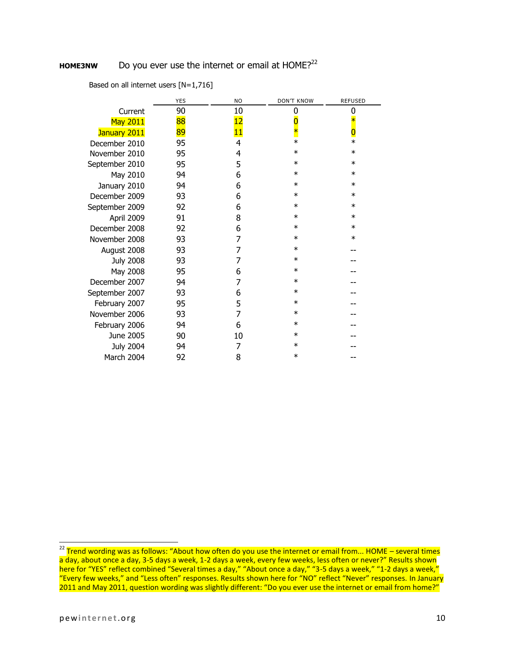# **HOME3NW** Do you ever use the internet or email at HOME?<sup>22</sup>

|  | Based on all internet users [N=1,716] |  |
|--|---------------------------------------|--|
|--|---------------------------------------|--|

|                  |         | <b>YES</b> | <b>NO</b> | <b>DON'T KNOW</b> | <b>REFUSED</b> |
|------------------|---------|------------|-----------|-------------------|----------------|
|                  | Current | 90         | 10        | 0                 | 0              |
| <b>May 2011</b>  |         | 88         | 12        |                   | $\ast$         |
| January 2011     |         | 89         | 11        | $\ast$            | $\bf{0}$       |
| December 2010    |         | 95         | 4         | $\ast$            | $\ast$         |
| November 2010    |         | 95         | 4         | $\ast$            | $\ast$         |
| September 2010   |         | 95         | 5         | $\ast$            | $\ast$         |
| May 2010         |         | 94         | 6         | $\ast$            | $\ast$         |
| January 2010     |         | 94         | 6         | $\ast$            | $\ast$         |
| December 2009    |         | 93         | 6         | $\ast$            | $\ast$         |
| September 2009   |         | 92         | 6         | $\ast$            | $\ast$         |
| April 2009       |         | 91         | 8         | $\ast$            | $\ast$         |
| December 2008    |         | 92         | 6         | $\ast$            | $\ast$         |
| November 2008    |         | 93         | 7         | $\ast$            | $\ast$         |
| August 2008      |         | 93         | 7         | $\ast$            |                |
| <b>July 2008</b> |         | 93         | 7         | $\ast$            |                |
| May 2008         |         | 95         | 6         | $\ast$            |                |
| December 2007    |         | 94         | 7         | $\ast$            |                |
| September 2007   |         | 93         | 6         | $\ast$            |                |
| February 2007    |         | 95         | 5         | $\ast$            |                |
| November 2006    |         | 93         | 7         | $\ast$            |                |
| February 2006    |         | 94         | 6         | $\ast$            |                |
| June 2005        |         | 90         | 10        | $\ast$            |                |
| <b>July 2004</b> |         | 94         | 7         | $^\ast$           |                |
| March 2004       |         | 92         | 8         | $\ast$            |                |

 $^{22}$  Trend wording was as follows: "About how often do you use the internet or email from... HOME – several times a day, about once a day, 3-5 days a week, 1-2 days a week, every few weeks, less often or never?" Results shown here for "YES" reflect combined "Several times a day," "About once a day," "3-5 days a week," "1-2 days a week," "Every few weeks," and "Less often" responses. Results shown here for "NO" reflect "Never" responses. In January 2011 and May 2011, question wording was slightly different: "Do you ever use the internet or email from home?"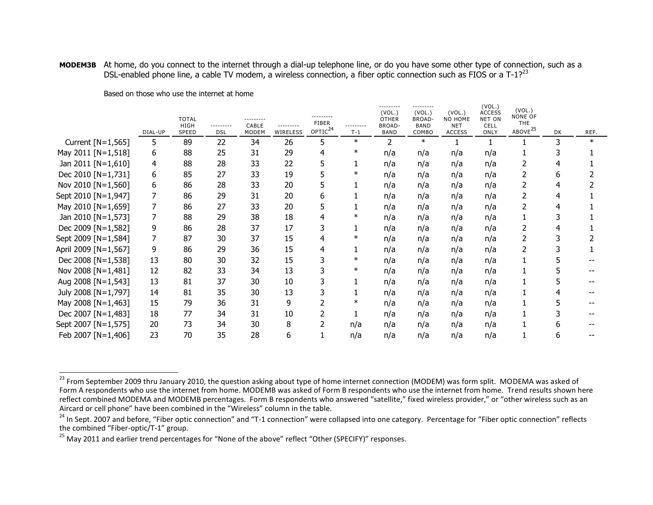#### **MODEM3B** At home, do you connect to the internet through a dial-up telephone line, or do you have some other type of connection, such as a DSL-enabled phone line, a cable TV modem, a wireless connection, a fiber optic connection such as FIOS or a T-1?<sup>23</sup>

|                      | DIAL-UP | <b>TOTAL</b><br><b>HIGH</b><br><b>SPEED</b> | ---------<br><b>DSL</b> | ---------<br>CABLE<br><b>MODEM</b> | ---------<br>WIRELESS | <b>FIBER</b><br>OPTIC <sup>24</sup> | ---------<br>$T-1$ | ---------<br>(VOL.)<br><b>OTHER</b><br>BROAD-<br><b>BAND</b> | ---------<br>(VOL.)<br><b>BROAD-</b><br><b>BAND</b><br>COMBO | (VOL.)<br>NO HOME<br><b>NET</b><br><b>ACCESS</b> | (VOL.)<br><b>ACCESS</b><br><b>NET ON</b><br>CELL<br>ONLY | (VOL.)<br>NONE OF<br><b>THE</b><br>ABOVE <sup>25</sup> | <b>DK</b> | REF.   |
|----------------------|---------|---------------------------------------------|-------------------------|------------------------------------|-----------------------|-------------------------------------|--------------------|--------------------------------------------------------------|--------------------------------------------------------------|--------------------------------------------------|----------------------------------------------------------|--------------------------------------------------------|-----------|--------|
| Current [N=1,565]    | 5       | 89                                          | 22                      | 34                                 | 26                    | 5                                   | $\ast$             | 2                                                            | $\ast$                                                       |                                                  |                                                          |                                                        | 3         | $\ast$ |
| May 2011 [N=1,518]   | 6       | 88                                          | 25                      | 31                                 | 29                    | 4                                   | $\ast$             | n/a                                                          | n/a                                                          | n/a                                              | n/a                                                      |                                                        |           |        |
| Jan 2011 [N=1,610]   | 4       | 88                                          | 28                      | 33                                 | 22                    |                                     |                    | n/a                                                          | n/a                                                          | n/a                                              | n/a                                                      |                                                        |           |        |
| Dec 2010 [N=1,731]   | 6       | 85                                          | 27                      | 33                                 | 19                    |                                     | $\ast$             | n/a                                                          | n/a                                                          | n/a                                              | n/a                                                      | 2                                                      | 6         |        |
| Nov 2010 [N=1,560]   | 6       | 86                                          | 28                      | 33                                 | 20                    | 5                                   |                    | n/a                                                          | n/a                                                          | n/a                                              | n/a                                                      |                                                        |           |        |
| Sept 2010 [N=1,947]  | 7       | 86                                          | 29                      | 31                                 | 20                    | 6                                   |                    | n/a                                                          | n/a                                                          | n/a                                              | n/a                                                      | 2                                                      |           |        |
| May 2010 [N=1,659]   | 7       | 86                                          | 27                      | 33                                 | 20                    | 5                                   |                    | n/a                                                          | n/a                                                          | n/a                                              | n/a                                                      |                                                        |           |        |
| Jan 2010 [N=1,573]   | 7       | 88                                          | 29                      | 38                                 | 18                    | 4                                   |                    | n/a                                                          | n/a                                                          | n/a                                              | n/a                                                      |                                                        |           |        |
| Dec 2009 [N=1,582]   | 9       | 86                                          | 28                      | 37                                 | 17                    | 3                                   |                    | n/a                                                          | n/a                                                          | n/a                                              | n/a                                                      | 2                                                      |           |        |
| Sept 2009 [N=1,584]  | 7       | 87                                          | 30                      | 37                                 | 15                    | 4                                   | $\ast$             | n/a                                                          | n/a                                                          | n/a                                              | n/a                                                      | 2                                                      |           |        |
| April 2009 [N=1,567] | 9       | 86                                          | 29                      | 36                                 | 15                    | 4                                   |                    | n/a                                                          | n/a                                                          | n/a                                              | n/a                                                      |                                                        |           |        |
| Dec 2008 [N=1,538]   | 13      | 80                                          | 30                      | 32                                 | 15                    |                                     | $\ast$             | n/a                                                          | n/a                                                          | n/a                                              | n/a                                                      |                                                        |           |        |
| Nov 2008 [N=1,481]   | 12      | 82                                          | 33                      | 34                                 | 13                    |                                     | $\ast$             | n/a                                                          | n/a                                                          | n/a                                              | n/a                                                      |                                                        |           |        |
| Aug 2008 [N=1,543]   | 13      | 81                                          | 37                      | 30                                 | 10                    |                                     |                    | n/a                                                          | n/a                                                          | n/a                                              | n/a                                                      |                                                        |           |        |
| July 2008 [N=1,797]  | 14      | 81                                          | 35                      | 30                                 | 13                    |                                     |                    | n/a                                                          | n/a                                                          | n/a                                              | n/a                                                      |                                                        |           |        |
| May 2008 [N=1,463]   | 15      | 79                                          | 36                      | 31                                 | 9                     |                                     | $\ast$             | n/a                                                          | n/a                                                          | n/a                                              | n/a                                                      |                                                        |           |        |
| Dec 2007 [N=1,483]   | 18      | 77                                          | 34                      | 31                                 | 10                    |                                     |                    | n/a                                                          | n/a                                                          | n/a                                              | n/a                                                      |                                                        |           |        |
| Sept 2007 [N=1,575]  | 20      | 73                                          | 34                      | 30                                 | 8                     |                                     | n/a                | n/a                                                          | n/a                                                          | n/a                                              | n/a                                                      |                                                        |           |        |
| Feb 2007 [N=1,406]   | 23      | 70                                          | 35                      | 28                                 | 6                     |                                     | n/a                | n/a                                                          | n/a                                                          | n/a                                              | n/a                                                      |                                                        | ь         |        |

Based on those who use the internet at home

 $\overline{a}$ 

<sup>&</sup>lt;sup>23</sup> From September 2009 thru January 2010, the question asking about type of home internet connection (MODEM) was form split. MODEMA was asked of Form A respondents who use the internet from home. MODEMB was asked of Form B respondents who use the internet from home. Trend results shown here reflect combined MODEMA and MODEMB percentages. Form B respondents who answered "satellite," fixed wireless provider," or "other wireless such as an Aircard or cell phone" have been combined in the "Wireless" column in the table.

<sup>&</sup>lt;sup>24</sup> In Sept. 2007 and before, "Fiber optic connection" and "T-1 connection" were collapsed into one category. Percentage for "Fiber optic connection" reflects the combined "Fiber-optic/T-1" group.

<sup>&</sup>lt;sup>25</sup> May 2011 and earlier trend percentages for "None of the above" reflect "Other (SPECIFY)" responses.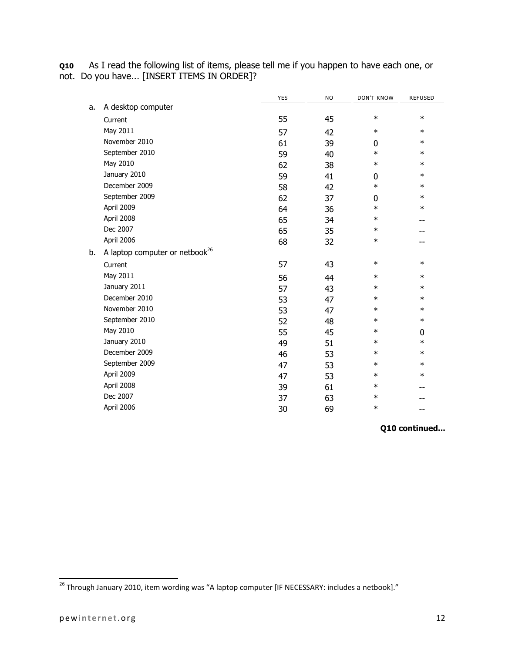**Q10** As I read the following list of items, please tell me if you happen to have each one, or not. Do you have... [INSERT ITEMS IN ORDER]?

|    |                                            | YES | <b>NO</b> | <b>DON'T KNOW</b> | <b>REFUSED</b> |
|----|--------------------------------------------|-----|-----------|-------------------|----------------|
| a. | A desktop computer                         |     |           |                   |                |
|    | Current                                    | 55  | 45        | $\ast$            | $\ast$         |
|    | May 2011                                   | 57  | 42        | $\ast$            | $\ast$         |
|    | November 2010                              | 61  | 39        | 0                 | $\ast$         |
|    | September 2010                             | 59  | 40        | $\ast$            | $\ast$         |
|    | May 2010                                   | 62  | 38        | $\ast$            | $\ast$         |
|    | January 2010                               | 59  | 41        | $\pmb{0}$         | $\ast$         |
|    | December 2009                              | 58  | 42        | $\ast$            | $\ast$         |
|    | September 2009                             | 62  | 37        | 0                 | $\ast$         |
|    | April 2009                                 | 64  | 36        | $\ast$            | $\ast$         |
|    | April 2008                                 | 65  | 34        | $\ast$            | --             |
|    | Dec 2007                                   | 65  | 35        | $\ast$            |                |
|    | April 2006                                 | 68  | 32        | $\ast$            | --             |
| b. | A laptop computer or netbook <sup>26</sup> |     |           |                   |                |
|    | Current                                    | 57  | 43        | $\ast$            | $\ast$         |
|    | May 2011                                   | 56  | 44        | $\ast$            | $\ast$         |
|    | January 2011                               | 57  | 43        | $\ast$            | $\ast$         |
|    | December 2010                              | 53  | 47        | $\ast$            | $\ast$         |
|    | November 2010                              | 53  | 47        | $\ast$            | $\ast$         |
|    | September 2010                             | 52  | 48        | $\ast$            | $\ast$         |
|    | May 2010                                   | 55  | 45        | $\ast$            | 0              |
|    | January 2010                               | 49  | 51        | $\ast$            | $\ast$         |
|    | December 2009                              | 46  | 53        | $\ast$            | $\ast$         |
|    | September 2009                             | 47  | 53        | $\ast$            | $\ast$         |
|    | April 2009                                 | 47  | 53        | $\ast$            | $\ast$         |
|    | April 2008                                 | 39  | 61        | $\ast$            |                |
|    | Dec 2007                                   | 37  | 63        | $\ast$            |                |
|    | April 2006                                 | 30  | 69        | $\ast$            |                |

**Q10 continued...**

 $^{26}$  Through January 2010, item wording was "A laptop computer [IF NECESSARY: includes a netbook]."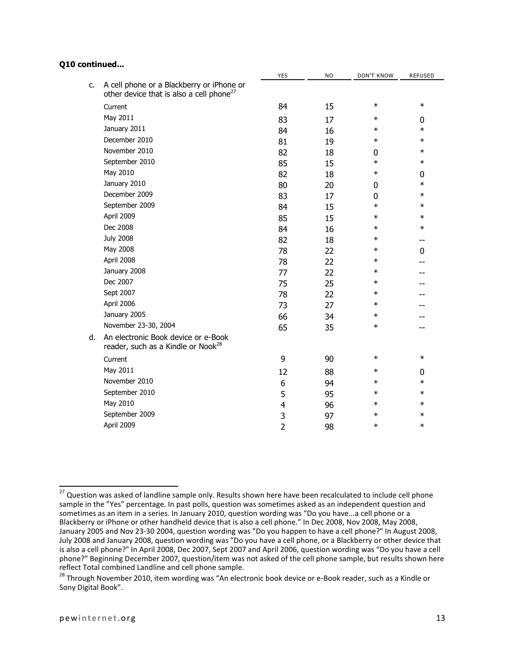## **Q10 continued...**

|    |                                                                                                   | YES            | ΝO | DON'T KNOW | <b>REFUSED</b> |
|----|---------------------------------------------------------------------------------------------------|----------------|----|------------|----------------|
| C. | A cell phone or a Blackberry or iPhone or<br>other device that is also a cell phone <sup>27</sup> |                |    |            |                |
|    | Current                                                                                           | 84             | 15 | $\ast$     | $\ast$         |
|    | May 2011                                                                                          | 83             | 17 | $\ast$     | 0              |
|    | January 2011                                                                                      | 84             | 16 | $\ast$     | $\ast$         |
|    | December 2010                                                                                     | 81             | 19 | $\ast$     | $\ast$         |
|    | November 2010                                                                                     | 82             | 18 | 0          | $\ast$         |
|    | September 2010                                                                                    | 85             | 15 | $\ast$     | $\ast$         |
|    | May 2010                                                                                          | 82             | 18 | $\ast$     | 0              |
|    | January 2010                                                                                      | 80             | 20 | 0          | $\ast$         |
|    | December 2009                                                                                     | 83             | 17 | 0          | $\ast$         |
|    | September 2009                                                                                    | 84             | 15 | $\ast$     | $\ast$         |
|    | April 2009                                                                                        | 85             | 15 | $\ast$     | $\ast$         |
|    | Dec 2008                                                                                          | 84             | 16 | $\ast$     | $\ast$         |
|    | <b>July 2008</b>                                                                                  | 82             | 18 | $\ast$     | --             |
|    | May 2008                                                                                          | 78             | 22 | $\ast$     | 0              |
|    | April 2008                                                                                        | 78             | 22 | $\ast$     |                |
|    | January 2008                                                                                      | 77             | 22 | $\ast$     |                |
|    | Dec 2007                                                                                          | 75             | 25 | $\ast$     |                |
|    | Sept 2007                                                                                         | 78             | 22 | $\ast$     |                |
|    | April 2006                                                                                        | 73             | 27 | $\ast$     |                |
|    | January 2005                                                                                      | 66             | 34 | $\ast$     |                |
|    | November 23-30, 2004                                                                              | 65             | 35 | $\ast$     |                |
| d. | An electronic Book device or e-Book<br>reader, such as a Kindle or Nook <sup>28</sup>             |                |    |            |                |
|    | Current                                                                                           | 9              | 90 | $\ast$     | $\ast$         |
|    | May 2011                                                                                          | 12             | 88 | $\ast$     | 0              |
|    | November 2010                                                                                     | 6              | 94 | $\ast$     | $\ast$         |
|    | September 2010                                                                                    | 5              | 95 | $\ast$     | $\ast$         |
|    | May 2010                                                                                          | 4              | 96 | $\ast$     | $\ast$         |
|    | September 2009                                                                                    | 3              | 97 | $\ast$     | $\ast$         |
|    | April 2009                                                                                        | $\overline{2}$ | 98 | $\ast$     | $\ast$         |
|    |                                                                                                   |                |    |            |                |

l

 $^{27}$  Question was asked of landline sample only. Results shown here have been recalculated to include cell phone sample in the "Yes" percentage. In past polls, question was sometimes asked as an independent question and sometimes as an item in a series. In January 2010, question wording was "Do you have...a cell phone or a Blackberry or iPhone or other handheld device that is also a cell phone." In Dec 2008, Nov 2008, May 2008, January 2005 and Nov 23-30 2004, question wording was "Do you happen to have a cell phone?" In August 2008, July 2008 and January 2008, question wording was "Do you have a cell phone, or a Blackberry or other device that is also a cell phone?" In April 2008, Dec 2007, Sept 2007 and April 2006, question wording was "Do you have a cell phone?" Beginning December 2007, question/item was not asked of the cell phone sample, but results shown here reflect Total combined Landline and cell phone sample.

<sup>&</sup>lt;sup>28</sup> Through November 2010, item wording was "An electronic book device or e-Book reader, such as a Kindle or Sony Digital Book".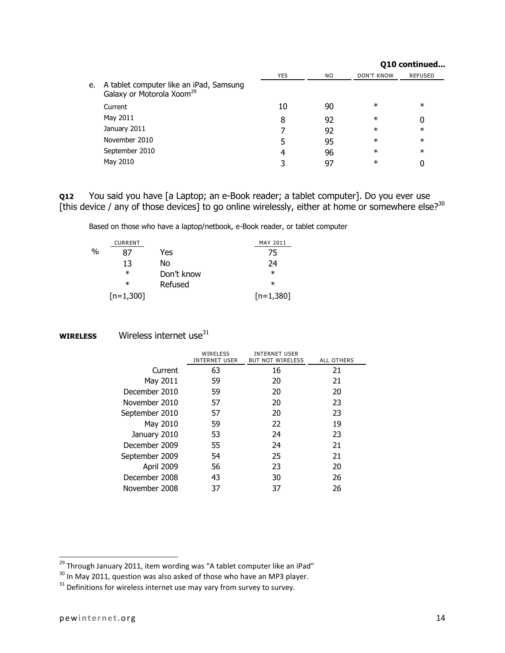|    |                                                                                  |            |     |                   | Q10 continued  |
|----|----------------------------------------------------------------------------------|------------|-----|-------------------|----------------|
|    |                                                                                  | <b>YES</b> | NO. | <b>DON'T KNOW</b> | <b>REFUSED</b> |
| e. | A tablet computer like an iPad, Samsung<br>Galaxy or Motorola Xoom <sup>29</sup> |            |     |                   |                |
|    | Current                                                                          | 10         | 90  | $\ast$            | $\ast$         |
|    | May 2011                                                                         | 8          | 92  | $\ast$            | 0              |
|    | January 2011                                                                     |            | 92  | $\ast$            | $\ast$         |
|    | November 2010                                                                    |            | 95  | $\ast$            | $\ast$         |
|    | September 2010                                                                   | 4          | 96  | $\ast$            | $\ast$         |
|    | May 2010                                                                         |            | 97  | $\ast$            | 0              |

**Q12** You said you have [a Laptop; an e-Book reader; a tablet computer]. Do you ever use [this device / any of those devices] to go online wirelessly, either at home or somewhere else?<sup>30</sup>

Based on those who have a laptop/netbook, e-Book reader, or tablet computer

|   | <b>CURRENT</b> |            | MAY 2011    |
|---|----------------|------------|-------------|
| % | 87             | Yes        | 75          |
|   | 13             | No         | 24          |
|   | $^\ast$        | Don't know | $\ast$      |
|   | $^\ast$        | Refused    | $\ast$      |
|   | $[n=1,300]$    |            | $[n=1,380]$ |

**WIRELESS** Wireless internet use<sup>31</sup>

|                | WIRELESS<br><b>INTERNET USER</b> | <b>INTERNET USER</b><br><b>BUT NOT WIRELESS</b> | ALL OTHERS |
|----------------|----------------------------------|-------------------------------------------------|------------|
| Current        | 63                               | 16                                              | 21         |
| May 2011       | 59                               | 20                                              | 21         |
| December 2010  | 59                               | 20                                              | 20         |
| November 2010  | 57                               | 20                                              | 23         |
| September 2010 | 57                               | 20                                              | 23         |
| May 2010       | 59                               | 22                                              | 19         |
| January 2010   | 53                               | 24                                              | 23         |
| December 2009  | 55                               | 24                                              | 21         |
| September 2009 | 54                               | 25                                              | 21         |
| April 2009     | 56                               | 23                                              | 20         |
| December 2008  | 43                               | 30                                              | 26         |
| November 2008  | 37                               | 37                                              | 26         |

l

<sup>&</sup>lt;sup>29</sup> Through January 2011, item wording was "A tablet computer like an iPad"

<sup>30</sup> In May 2011, question was also asked of those who have an MP3 player.

 $31$  Definitions for wireless internet use may vary from survey to survey.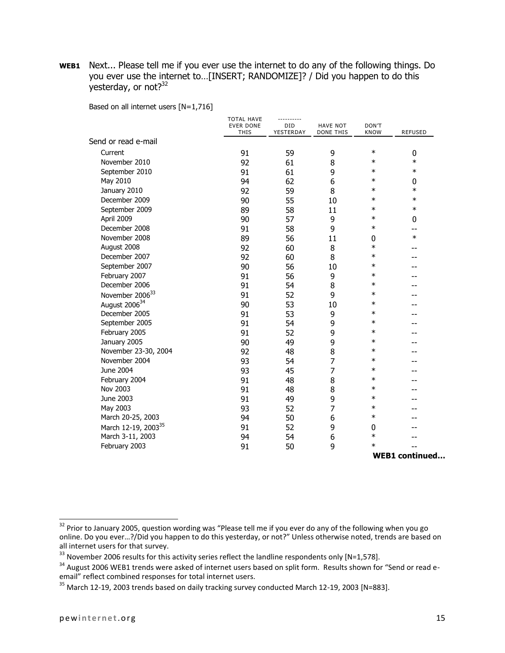**WEB1** Next... Please tell me if you ever use the internet to do any of the following things. Do you ever use the internet to…[INSERT; RANDOMIZE]? / Did you happen to do this yesterday, or not?<sup>32</sup>

Based on all internet users [N=1,716]

|                                 | <b>TOTAL HAVE</b><br><b>EVER DONE</b> | <b>DID</b> | <b>HAVE NOT</b> | DON'T       |                       |
|---------------------------------|---------------------------------------|------------|-----------------|-------------|-----------------------|
|                                 | <b>THIS</b>                           | YESTERDAY  | DONE THIS       | <b>KNOW</b> | REFUSED               |
| Send or read e-mail             |                                       |            |                 |             |                       |
| Current                         | 91                                    | 59         | 9               | $\ast$      | 0                     |
| November 2010                   | 92                                    | 61         | 8               | $\ast$      | $\ast$                |
| September 2010                  | 91                                    | 61         | 9               | $\ast$      | $\ast$                |
| May 2010                        | 94                                    | 62         | 6               | $\ast$      | 0                     |
| January 2010                    | 92                                    | 59         | 8               | $\ast$      | $\ast$                |
| December 2009                   | 90                                    | 55         | 10              | $\ast$      | $\ast$                |
| September 2009                  | 89                                    | 58         | 11              | $\ast$      | $\ast$                |
| April 2009                      | 90                                    | 57         | 9               | $\ast$      | 0                     |
| December 2008                   | 91                                    | 58         | 9               | $\ast$      | --                    |
| November 2008                   | 89                                    | 56         | 11              | 0           | $\ast$                |
| August 2008                     | 92                                    | 60         | 8               | $\ast$      |                       |
| December 2007                   | 92                                    | 60         | 8               | $\ast$      |                       |
| September 2007                  | 90                                    | 56         | 10              | $\ast$      |                       |
| February 2007                   | 91                                    | 56         | 9               | $\ast$      |                       |
| December 2006                   | 91                                    | 54         | 8               | $\ast$      |                       |
| November 2006 <sup>33</sup>     | 91                                    | 52         | 9               | $\ast$      |                       |
| August 2006 <sup>34</sup>       | 90                                    | 53         | 10              | $\ast$      |                       |
| December 2005                   | 91                                    | 53         | 9               | $\ast$      |                       |
| September 2005                  | 91                                    | 54         | 9               | $\ast$      |                       |
| February 2005                   | 91                                    | 52         | 9               | $\ast$      |                       |
| January 2005                    | 90                                    | 49         | 9               | $\ast$      |                       |
| November 23-30, 2004            | 92                                    | 48         | 8               | $\ast$      |                       |
| November 2004                   | 93                                    | 54         | $\overline{7}$  | $\ast$      |                       |
| June 2004                       | 93                                    | 45         | $\overline{7}$  | $\ast$      |                       |
| February 2004                   | 91                                    | 48         | 8               | $\ast$      |                       |
| Nov 2003                        | 91                                    | 48         | 8               | $\ast$      |                       |
| June 2003                       | 91                                    | 49         | 9               | $\ast$      |                       |
| May 2003                        | 93                                    | 52         | $\overline{7}$  | $\ast$      |                       |
| March 20-25, 2003               | 94                                    | 50         | 6               | $\ast$      |                       |
| March 12-19, 2003 <sup>35</sup> | 91                                    | 52         | 9               | 0           |                       |
| March 3-11, 2003                | 94                                    | 54         | 6               | $\ast$      |                       |
| February 2003                   | 91                                    | 50         | 9               | $\ast$      |                       |
|                                 |                                       |            |                 |             | <b>WEB1</b> continued |

 $\overline{a}$ 

 $32$  Prior to January 2005, question wording was "Please tell me if you ever do any of the following when you go online. Do you ever…?/Did you happen to do this yesterday, or not?" Unless otherwise noted, trends are based on all internet users for that survey.

 $33$  November 2006 results for this activity series reflect the landline respondents only [N=1,578].

<sup>&</sup>lt;sup>34</sup> August 2006 WEB1 trends were asked of internet users based on split form. Results shown for "Send or read eemail" reflect combined responses for total internet users.

<sup>&</sup>lt;sup>35</sup> March 12-19, 2003 trends based on daily tracking survey conducted March 12-19, 2003 [N=883].